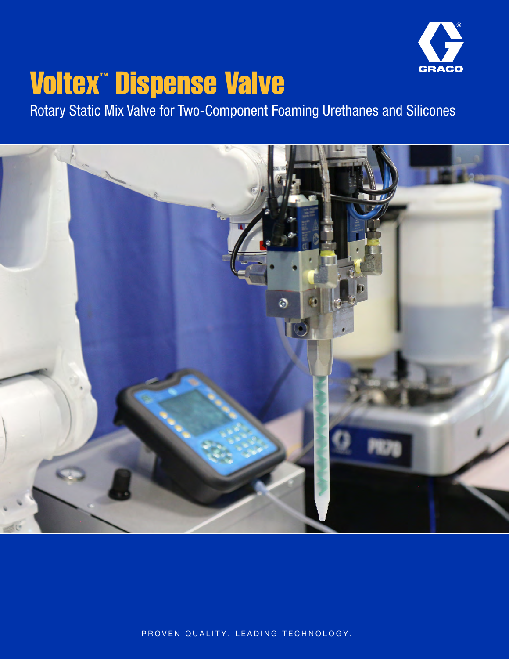

# Voltex™ Dispense Valve

Rotary Static Mix Valve for Two-Component Foaming Urethanes and Silicones



PROVEN QUALITY. LEADING TECHNOLOGY.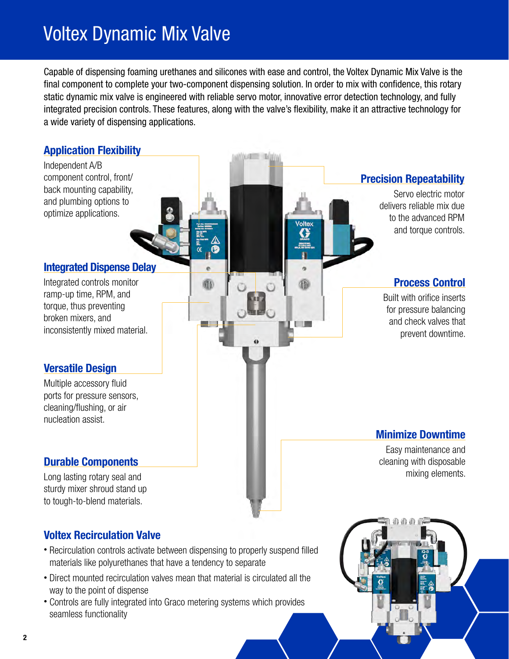## Voltex Dynamic Mix Valve

Capable of dispensing foaming urethanes and silicones with ease and control, the Voltex Dynamic Mix Valve is the final component to complete your two-component dispensing solution. In order to mix with confidence, this rotary static dynamic mix valve is engineered with reliable servo motor, innovative error detection technology, and fully integrated precision controls. These features, along with the valve's flexibility, make it an attractive technology for a wide variety of dispensing applications.



- Direct mounted recirculation valves mean that material is circulated all the way to the point of dispense
- Controls are fully integrated into Graco metering systems which provides seamless functionality



2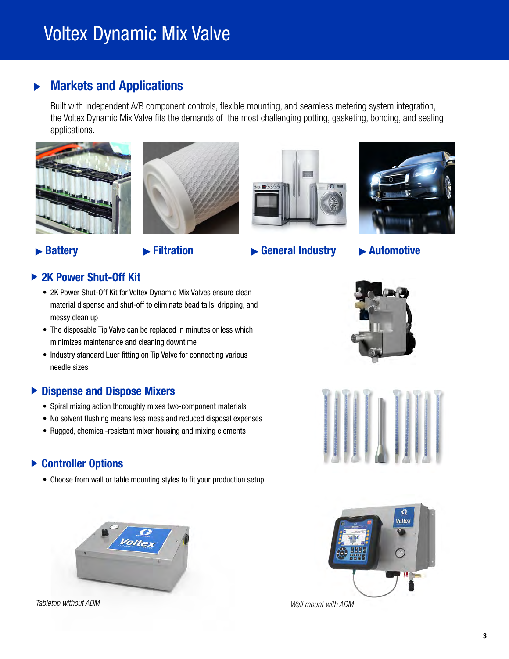## Voltex Dynamic Mix Valve

#### Markets and Applications  $\blacktriangleright$

Built with independent A/B component controls, flexible mounting, and seamless metering system integration, the Voltex Dynamic Mix Valve fits the demands of the most challenging potting, gasketing, bonding, and sealing applications.









## ► Battery <del>■</del> Filtration ■ General Industry ■ Automotive

### ▶ 2K Power Shut-Off Kit

- 2K Power Shut-Off Kit for Voltex Dynamic Mix Valves ensure clean material dispense and shut-off to eliminate bead tails, dripping, and messy clean up
- The disposable Tip Valve can be replaced in minutes or less which minimizes maintenance and cleaning downtime
- Industry standard Luer fitting on Tip Valve for connecting various needle sizes

### ▶ Dispense and Dispose Mixers

- Spiral mixing action thoroughly mixes two-component materials
- No solvent flushing means less mess and reduced disposal expenses
- Rugged, chemical-resistant mixer housing and mixing elements

### ▶ Controller Options

• Choose from wall or table mounting styles to fit your production setup



*Tabletop without ADM Wall mount with ADM*





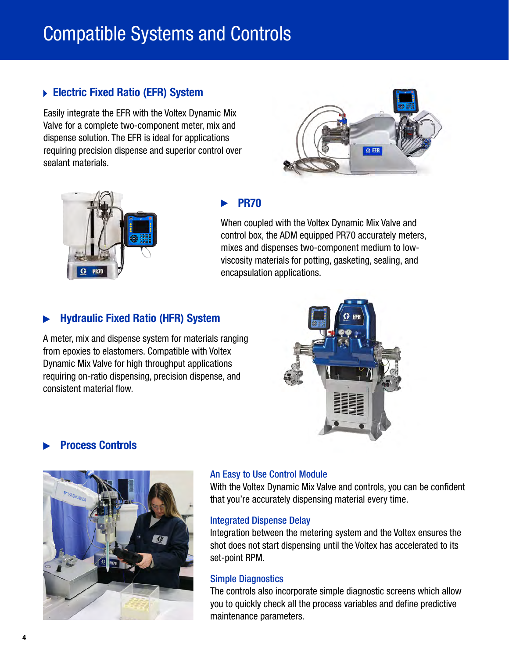## Compatible Systems and Controls

### ▶ Electric Fixed Ratio (EFR) System

Easily integrate the EFR with the Voltex Dynamic Mix Valve for a complete two-component meter, mix and dispense solution. The EFR is ideal for applications requiring precision dispense and superior control over sealant materials.





### PR70

When coupled with the Voltex Dynamic Mix Valve and control box, the ADM equipped PR70 accurately meters, mixes and dispenses two-component medium to lowviscosity materials for potting, gasketing, sealing, and encapsulation applications.

### Hydraulic Fixed Ratio (HFR) System

A meter, mix and dispense system for materials ranging from epoxies to elastomers. Compatible with Voltex Dynamic Mix Valve for high throughput applications requiring on-ratio dispensing, precision dispense, and consistent material flow.



### Process Controls



#### An Easy to Use Control Module

With the Voltex Dynamic Mix Valve and controls, you can be confident that you're accurately dispensing material every time.

#### Integrated Dispense Delay

Integration between the metering system and the Voltex ensures the shot does not start dispensing until the Voltex has accelerated to its set-point RPM.

#### Simple Diagnostics

The controls also incorporate simple diagnostic screens which allow you to quickly check all the process variables and define predictive maintenance parameters.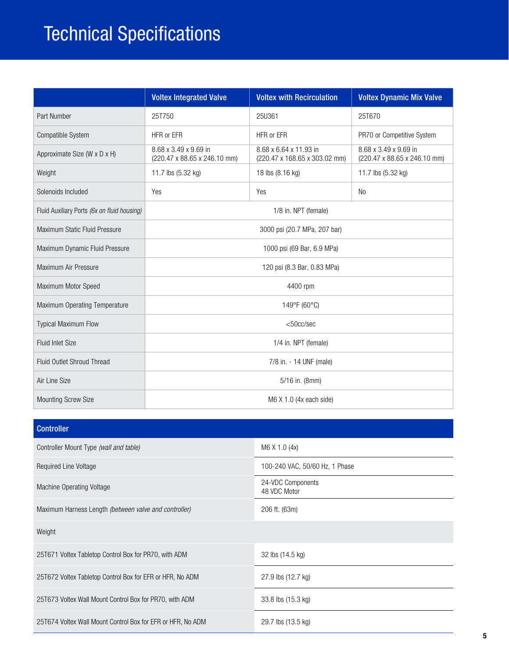## Technical Specifications

|                                             | <b>Voltex Integrated Valve</b>                        | <b>Voltex with Recirculation</b>                        | <b>Voltex Dynamic Mix Valve</b>                       |
|---------------------------------------------|-------------------------------------------------------|---------------------------------------------------------|-------------------------------------------------------|
| Part Number                                 | 25T750                                                | 25U361                                                  | 25T670                                                |
| Compatible System                           | HFR or EFR                                            | HFR or EFR                                              | PR70 or Competitive System                            |
| Approximate Size (W x D x H)                | 8.68 x 3.49 x 9.69 in<br>(220.47 x 88.65 x 246.10 mm) | 8.68 x 6.64 x 11.93 in<br>(220.47 x 168.65 x 303.02 mm) | 8.68 x 3.49 x 9.69 in<br>(220.47 x 88.65 x 246.10 mm) |
| Weight                                      | 11.7 lbs (5.32 kg)                                    | 18 lbs (8.16 kg)                                        | 11.7 lbs (5.32 kg)                                    |
| Solenoids Included                          | Yes                                                   | Yes                                                     | <b>No</b>                                             |
| Fluid Auxiliary Ports (6x on fluid housing) | 1/8 in. NPT (female)                                  |                                                         |                                                       |
| Maximum Static Fluid Pressure               | 3000 psi (20.7 MPa, 207 bar)                          |                                                         |                                                       |
| Maximum Dynamic Fluid Pressure              | 1000 psi (69 Bar, 6.9 MPa)                            |                                                         |                                                       |
| Maximum Air Pressure                        | 120 psi (8.3 Bar, 0.83 MPa)                           |                                                         |                                                       |
| Maximum Motor Speed                         | 4400 rpm                                              |                                                         |                                                       |
| Maximum Operating Temperature               | 149°F (60°C)                                          |                                                         |                                                       |
| <b>Typical Maximum Flow</b>                 | $<$ 50cc/sec                                          |                                                         |                                                       |
| <b>Fluid Inlet Size</b>                     | 1/4 in. NPT (female)                                  |                                                         |                                                       |
| Fluid Outlet Shroud Thread                  | 7/8 in. - 14 UNF (male)                               |                                                         |                                                       |
| Air Line Size                               | 5/16 in. (8mm)                                        |                                                         |                                                       |
| <b>Mounting Screw Size</b>                  | M6 X 1.0 (4x each side)                               |                                                         |                                                       |

| <b>Controller</b>                                           |                                   |
|-------------------------------------------------------------|-----------------------------------|
| Controller Mount Type (wall and table)                      | M6 X 1.0 (4x)                     |
| Required Line Voltage                                       | 100-240 VAC, 50/60 Hz, 1 Phase    |
| Machine Operating Voltage                                   | 24-VDC Components<br>48 VDC Motor |
| Maximum Harness Length (between valve and controller)       | 206 ft. (63m)                     |
| Weight                                                      |                                   |
| 25T671 Voltex Tabletop Control Box for PR70, with ADM       | 32 lbs (14.5 kg)                  |
| 25T672 Voltex Tabletop Control Box for EFR or HFR, No ADM   | 27.9 lbs (12.7 kg)                |
| 25T673 Voltex Wall Mount Control Box for PR70, with ADM     | 33.8 lbs (15.3 kg)                |
| 25T674 Voltex Wall Mount Control Box for EFR or HFR, No ADM | 29.7 lbs (13.5 kg)                |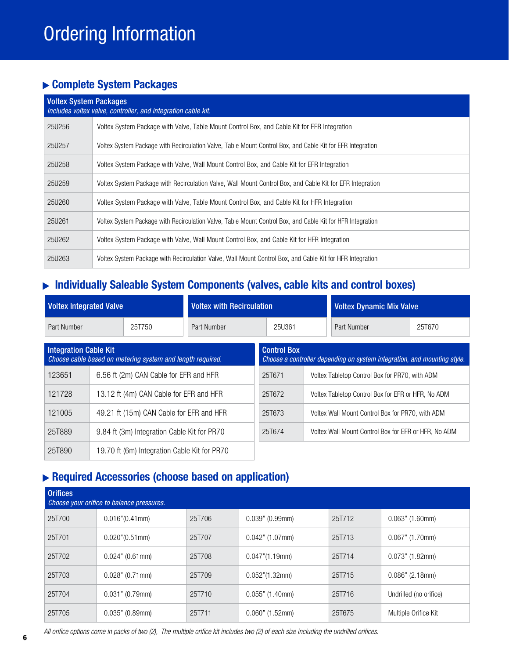## Complete System Packages

| <b>Voltex System Packages</b><br>Includes voltex valve, controller, and integration cable kit. |                                                                                                            |  |  |  |
|------------------------------------------------------------------------------------------------|------------------------------------------------------------------------------------------------------------|--|--|--|
| 25U256                                                                                         | Voltex System Package with Valve, Table Mount Control Box, and Cable Kit for EFR Integration               |  |  |  |
| 25U257                                                                                         | Voltex System Package with Recirculation Valve, Table Mount Control Box, and Cable Kit for EFR Integration |  |  |  |
| 25U258                                                                                         | Voltex System Package with Valve, Wall Mount Control Box, and Cable Kit for EFR Integration                |  |  |  |
| 25U259                                                                                         | Voltex System Package with Recirculation Valve, Wall Mount Control Box, and Cable Kit for EFR Integration  |  |  |  |
| 25U260                                                                                         | Voltex System Package with Valve, Table Mount Control Box, and Cable Kit for HFR Integration               |  |  |  |
| 25U261                                                                                         | Voltex System Package with Recirculation Valve, Table Mount Control Box, and Cable Kit for HFR Integration |  |  |  |
| 25U262                                                                                         | Voltex System Package with Valve, Wall Mount Control Box, and Cable Kit for HFR Integration                |  |  |  |
| 25U263                                                                                         | Voltex System Package with Recirculation Valve, Wall Mount Control Box, and Cable Kit for HFR Integration  |  |  |  |

## Individually Saleable System Components (valves, cable kits and control boxes)

| <b>Voltex Integrated Valve</b>                                                             |                                             | <b>Voltex with Recirculation</b>                                                               |             |                                                    | <b>Voltex Dynamic Mix Valve</b>                |  |                                                      |             |        |
|--------------------------------------------------------------------------------------------|---------------------------------------------|------------------------------------------------------------------------------------------------|-------------|----------------------------------------------------|------------------------------------------------|--|------------------------------------------------------|-------------|--------|
| Part Number                                                                                |                                             | 25T750                                                                                         | Part Number |                                                    | 25U361                                         |  |                                                      | Part Number | 25T670 |
| <b>Integration Cable Kit</b><br>Choose cable based on metering system and length required. |                                             | <b>Control Box</b><br>Choose a controller depending on system integration, and mounting style. |             |                                                    |                                                |  |                                                      |             |        |
| 123651                                                                                     | 6.56 ft (2m) CAN Cable for EFR and HFR      |                                                                                                |             | 25T671                                             | Voltex Tabletop Control Box for PR70, with ADM |  |                                                      |             |        |
| 121728<br>13.12 ft (4m) CAN Cable for EFR and HFR                                          |                                             |                                                                                                | 25T672      | Voltex Tabletop Control Box for EFR or HFR, No ADM |                                                |  |                                                      |             |        |
| 121005<br>49.21 ft (15m) CAN Cable for EFR and HFR                                         |                                             |                                                                                                | 25T673      | Voltex Wall Mount Control Box for PR70, with ADM   |                                                |  |                                                      |             |        |
| 25T889                                                                                     | 9.84 ft (3m) Integration Cable Kit for PR70 |                                                                                                |             | 25T674                                             |                                                |  | Voltex Wall Mount Control Box for EFR or HFR, No ADM |             |        |
| 25T890<br>19.70 ft (6m) Integration Cable Kit for PR70                                     |                                             |                                                                                                |             |                                                    |                                                |  |                                                      |             |        |

## Required Accessories (choose based on application)

| <b>Orifices</b><br>Choose your orifice to balance pressures. |                       |        |                          |        |                        |  |
|--------------------------------------------------------------|-----------------------|--------|--------------------------|--------|------------------------|--|
| 25T700                                                       | 0.016''(0.41mm)       | 25T706 | $0.039"$ (0.99mm)        | 25T712 | $0.063"$ (1.60mm)      |  |
| 25T701                                                       | $0.020$ " $(0.51$ mm) | 25T707 | $0.042$ " (1.07mm)       | 25T713 | $0.067"$ (1.70mm)      |  |
| 25T702                                                       | $0.024$ " (0.61mm)    | 25T708 | $0.047$ " $(1.19$ mm $)$ | 25T714 | $0.073$ " (1.82mm)     |  |
| 25T703                                                       | $0.028"$ (0.71mm)     | 25T709 | $0.052$ "(1.32mm)        | 25T715 | $0.086$ " (2.18mm)     |  |
| 25T704                                                       | 0.031" (0.79mm)       | 25T710 | $0.055"$ (1.40mm)        | 25T716 | Undrilled (no orifice) |  |
| 25T705                                                       | $0.035"$ (0.89mm)     | 25T711 | $0.060"$ (1.52mm)        | 25T675 | Multiple Orifice Kit   |  |

*All orifice options come in packs of two (2), The multiple orifice kit includes two (2) of each size including the undrilled orifices.*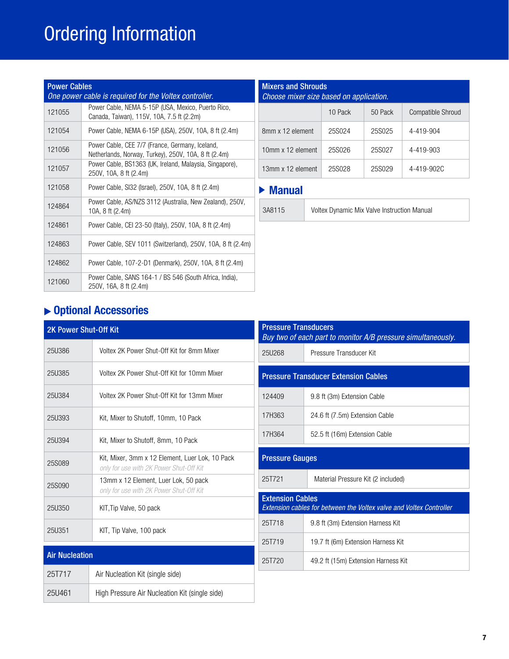## Ordering Information

| <b>Power Cables</b><br>One power cable is required for the Voltex controller. |                                                                                                         |  |  |  |
|-------------------------------------------------------------------------------|---------------------------------------------------------------------------------------------------------|--|--|--|
| 121055                                                                        | Power Cable, NEMA 5-15P (USA, Mexico, Puerto Rico,<br>Canada, Taiwan), 115V, 10A, 7.5 ft (2.2m)         |  |  |  |
| 121054                                                                        | Power Cable, NEMA 6-15P (USA), 250V, 10A, 8 ft (2.4m)                                                   |  |  |  |
| 121056                                                                        | Power Cable, CEE 7/7 (France, Germany, Iceland,<br>Netherlands, Norway, Turkey), 250V, 10A, 8 ft (2.4m) |  |  |  |
| 121057                                                                        | Power Cable, BS1363 (UK, Ireland, Malaysia, Singapore),<br>250V, 10A, 8 ft (2.4m)                       |  |  |  |
| 121058                                                                        | Power Cable, SI32 (Israel), 250V, 10A, 8 ft (2.4m)                                                      |  |  |  |
| 124864                                                                        | Power Cable, AS/NZS 3112 (Australia, New Zealand), 250V,<br>10A, 8 ft (2.4m)                            |  |  |  |
| 124861                                                                        | Power Cable, CEI 23-50 (Italy), 250V, 10A, 8 ft (2.4m)                                                  |  |  |  |
| 124863                                                                        | Power Cable, SEV 1011 (Switzerland), 250V, 10A, 8 ft (2.4m)                                             |  |  |  |
| 124862                                                                        | Power Cable, 107-2-D1 (Denmark), 250V, 10A, 8 ft (2.4m)                                                 |  |  |  |
| 121060                                                                        | Power Cable, SANS 164-1 / BS 546 (South Africa, India).<br>250V, 16A, 8 ft (2.4m)                       |  |  |  |

| <b>Mixers and Shrouds</b><br>Choose mixer size based on application. |         |         |                          |  |
|----------------------------------------------------------------------|---------|---------|--------------------------|--|
|                                                                      | 10 Pack | 50 Pack | <b>Compatible Shroud</b> |  |
| 8mm x 12 element                                                     | 25S024  | 25S025  | 4-419-904                |  |
| 10mm x 12 element                                                    | 25S026  | 25S027  | 4-419-903                |  |
| 13mm x 12 element                                                    | 25S028  | 25S029  | 4-419-902C               |  |
|                                                                      |         |         |                          |  |

## Manual

| 8115 | Voltex |
|------|--------|
|      |        |

3A8115 Voltex Dynamic Mix Valve Instruction Manual

## Optional Accessories

| <b>2K Power Shut-Off Kit</b> |                                                                                            |                                                                                | <b>Pressure Transducers</b><br>Buy two of each part to monitor A/B pressure |  |  |
|------------------------------|--------------------------------------------------------------------------------------------|--------------------------------------------------------------------------------|-----------------------------------------------------------------------------|--|--|
| <b>25U386</b>                | Voltex 2K Power Shut-Off Kit for 8mm Mixer                                                 |                                                                                | Pressure Transducer Kit                                                     |  |  |
| <b>25U385</b>                | Voltex 2K Power Shut-Off Kit for 10mm Mixer                                                |                                                                                | <b>Pressure Transducer Extension Cables</b>                                 |  |  |
| 25U384                       | Voltex 2K Power Shut-Off Kit for 13mm Mixer                                                | 124409                                                                         | 9.8 ft (3m) Extension Cable                                                 |  |  |
| 25U393                       | Kit, Mixer to Shutoff, 10mm, 10 Pack                                                       | 17H363                                                                         | 24.6 ft (7.5m) Extension Cable                                              |  |  |
| 25U394                       | Kit, Mixer to Shutoff, 8mm, 10 Pack                                                        | 17H364                                                                         | 52.5 ft (16m) Extension Cable                                               |  |  |
| 25S089                       | Kit, Mixer, 3mm x 12 Element, Luer Lok, 10 Pack<br>only for use with 2K Power Shut-Off Kit | <b>Pressure Gauges</b>                                                         |                                                                             |  |  |
| 25S090                       | 13mm x 12 Element, Luer Lok, 50 pack<br>only for use with 2K Power Shut-Off Kit            | 25T721                                                                         | Material Pressure Kit (2 included)                                          |  |  |
| 25U350                       | KIT, Tip Valve, 50 pack                                                                    | <b>Extension Cables</b><br>Extension cables for between the Voltex valve and I |                                                                             |  |  |
| 25U351                       | KIT, Tip Valve, 100 pack                                                                   | 25T718                                                                         | 9.8 ft (3m) Extension Harness Kit                                           |  |  |
|                              |                                                                                            | 25T719                                                                         | 19.7 ft (6m) Extension Harness Kit                                          |  |  |
| <b>Air Nucleation</b>        |                                                                                            | 25T720                                                                         | 49.2 ft (15m) Extension Harness Kit                                         |  |  |
| 25T717                       | Air Nucleation Kit (single side)                                                           |                                                                                |                                                                             |  |  |
| 25U461                       | High Pressure Air Nucleation Kit (single side)                                             |                                                                                |                                                                             |  |  |

| <b>Pressure Transducers</b><br>Buy two of each part to monitor A/B pressure simultaneously. |                                                                                                |  |  |  |
|---------------------------------------------------------------------------------------------|------------------------------------------------------------------------------------------------|--|--|--|
| 25U268                                                                                      | Pressure Transducer Kit                                                                        |  |  |  |
| <b>Pressure Transducer Extension Cables</b>                                                 |                                                                                                |  |  |  |
| 124409                                                                                      | 9.8 ft (3m) Extension Cable                                                                    |  |  |  |
| 17H363                                                                                      | 24.6 ft (7.5m) Extension Cable                                                                 |  |  |  |
| 17H364                                                                                      | 52.5 ft (16m) Extension Cable                                                                  |  |  |  |
| <b>Pressure Gauges</b>                                                                      |                                                                                                |  |  |  |
| 25T721<br>Material Pressure Kit (2 included)                                                |                                                                                                |  |  |  |
|                                                                                             | <b>Extension Cables</b><br>Extension cables for between the Voltex valve and Voltex Controller |  |  |  |
| 25T718                                                                                      | 9.8 ft (3m) Extension Harness Kit                                                              |  |  |  |
| 25T719<br>19.7 ft (6m) Extension Harness Kit                                                |                                                                                                |  |  |  |
| 25T720                                                                                      | 49.2 ft (15m) Extension Harness Kit                                                            |  |  |  |